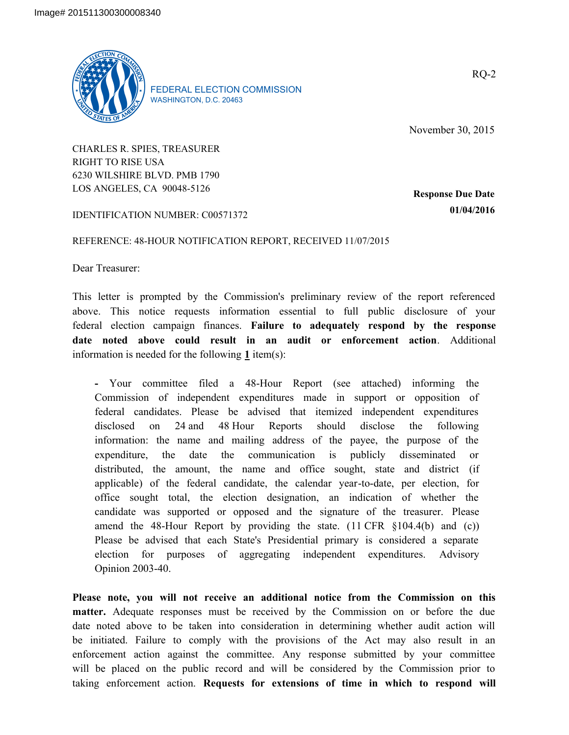

FEDERAL ELECTION COMMISSION WASHINGTON, D.C. 20463

November 30, 2015

CHARLES R. SPIES, TREASURER RIGHT TO RISE USA 6230 WILSHIRE BLVD. PMB 1790 LOS ANGELES, CA 90048-5126

**Response Due Date 01/04/2016**

IDENTIFICATION NUMBER: C00571372

## REFERENCE: 48-HOUR NOTIFICATION REPORT, RECEIVED 11/07/2015

Dear Treasurer:

This letter is prompted by the Commission's preliminary review of the report referenced above. This notice requests information essential to full public disclosure of your federal election campaign finances. **Failure to adequately respond by the response date noted above could result in an audit or enforcement action**. Additional information is needed for the following **1** item(s):

**-** Your committee filed a 48-Hour Report (see attached) informing the Commission of independent expenditures made in support or opposition of federal candidates. Please be advised that itemized independent expenditures disclosed on 24 and 48 Hour Reports should disclose the following information: the name and mailing address of the payee, the purpose of the expenditure, the date the communication is publicly disseminated or distributed, the amount, the name and office sought, state and district (if applicable) of the federal candidate, the calendar year-to-date, per election, for office sought total, the election designation, an indication of whether the candidate was supported or opposed and the signature of the treasurer. Please amend the 48-Hour Report by providing the state.  $(11 \text{ CFR } \text{\&} 104.4(b)$  and  $(c)$ ) Please be advised that each State's Presidential primary is considered a separate election for purposes of aggregating independent expenditures. Advisory Opinion 2003-40.

**Please note, you will not receive an additional notice from the Commission on this matter.** Adequate responses must be received by the Commission on or before the due date noted above to be taken into consideration in determining whether audit action will be initiated. Failure to comply with the provisions of the Act may also result in an enforcement action against the committee. Any response submitted by your committee will be placed on the public record and will be considered by the Commission prior to taking enforcement action. **Requests for extensions of time in which to respond will** 

RQ-2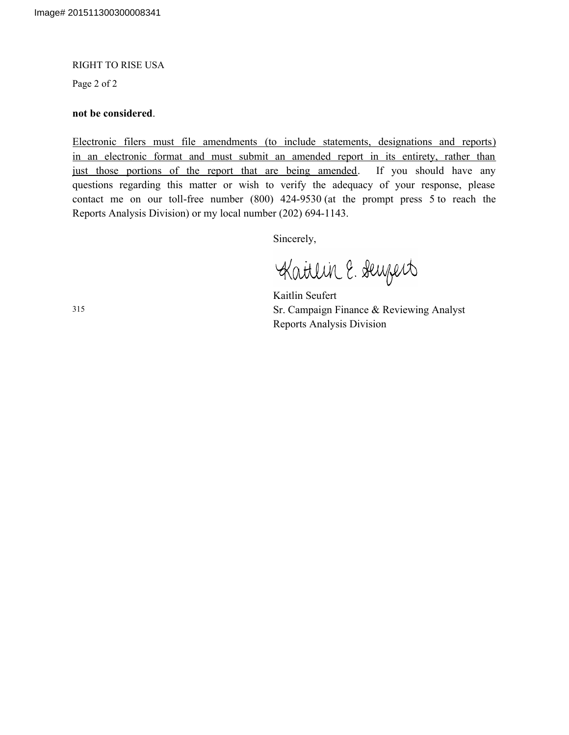## RIGHT TO RISE USA

Page 2 of 2

## **not be considered**.

Electronic filers must file amendments (to include statements, designations and reports) in an electronic format and must submit an amended report in its entirety, rather than just those portions of the report that are being amended. If you should have any questions regarding this matter or wish to verify the adequacy of your response, please contact me on our toll-free number (800) 424-9530 (at the prompt press 5 to reach the Reports Analysis Division) or my local number (202) 694-1143.

Sincerely,

Kattlin E. Seuzert

Kaitlin Seufert Sr. Campaign Finance & Reviewing Analyst Reports Analysis Division

315